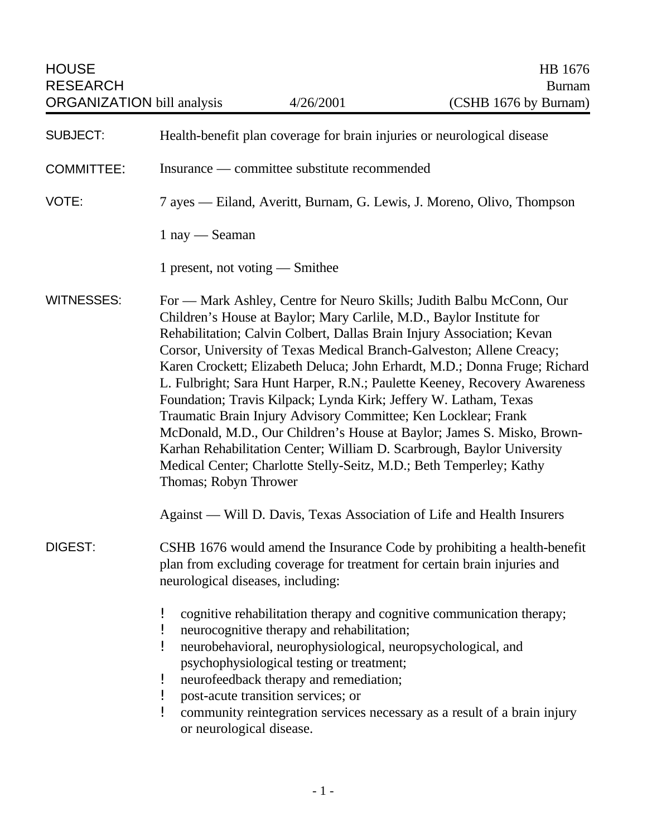| <b>HOUSE</b><br><b>RESEARCH</b><br><b>ORGANIZATION</b> bill analysis |                                                                                                                                                                                            | 4/26/2001                                                                                                                                                                                                                               | HB 1676<br><b>Burnam</b><br>(CSHB 1676 by Burnam)                                                                                                                                                                                                                                                                                                                                                                                                                                                                                                                                                                                                                                    |
|----------------------------------------------------------------------|--------------------------------------------------------------------------------------------------------------------------------------------------------------------------------------------|-----------------------------------------------------------------------------------------------------------------------------------------------------------------------------------------------------------------------------------------|--------------------------------------------------------------------------------------------------------------------------------------------------------------------------------------------------------------------------------------------------------------------------------------------------------------------------------------------------------------------------------------------------------------------------------------------------------------------------------------------------------------------------------------------------------------------------------------------------------------------------------------------------------------------------------------|
| <b>SUBJECT:</b>                                                      | Health-benefit plan coverage for brain injuries or neurological disease                                                                                                                    |                                                                                                                                                                                                                                         |                                                                                                                                                                                                                                                                                                                                                                                                                                                                                                                                                                                                                                                                                      |
| <b>COMMITTEE:</b>                                                    | Insurance — committee substitute recommended                                                                                                                                               |                                                                                                                                                                                                                                         |                                                                                                                                                                                                                                                                                                                                                                                                                                                                                                                                                                                                                                                                                      |
| VOTE:                                                                | 7 ayes — Eiland, Averitt, Burnam, G. Lewis, J. Moreno, Olivo, Thompson                                                                                                                     |                                                                                                                                                                                                                                         |                                                                                                                                                                                                                                                                                                                                                                                                                                                                                                                                                                                                                                                                                      |
|                                                                      | 1 nay - Seaman                                                                                                                                                                             |                                                                                                                                                                                                                                         |                                                                                                                                                                                                                                                                                                                                                                                                                                                                                                                                                                                                                                                                                      |
|                                                                      | 1 present, not voting — Smithee                                                                                                                                                            |                                                                                                                                                                                                                                         |                                                                                                                                                                                                                                                                                                                                                                                                                                                                                                                                                                                                                                                                                      |
| <b>WITNESSES:</b>                                                    | Thomas; Robyn Thrower                                                                                                                                                                      | Foundation; Travis Kilpack; Lynda Kirk; Jeffery W. Latham, Texas<br>Traumatic Brain Injury Advisory Committee; Ken Locklear; Frank                                                                                                      | For — Mark Ashley, Centre for Neuro Skills; Judith Balbu McConn, Our<br>Children's House at Baylor; Mary Carlile, M.D., Baylor Institute for<br>Rehabilitation; Calvin Colbert, Dallas Brain Injury Association; Kevan<br>Corsor, University of Texas Medical Branch-Galveston; Allene Creacy;<br>Karen Crockett; Elizabeth Deluca; John Erhardt, M.D.; Donna Fruge; Richard<br>L. Fulbright; Sara Hunt Harper, R.N.; Paulette Keeney, Recovery Awareness<br>McDonald, M.D., Our Children's House at Baylor; James S. Misko, Brown-<br>Karhan Rehabilitation Center; William D. Scarbrough, Baylor University<br>Medical Center; Charlotte Stelly-Seitz, M.D.; Beth Temperley; Kathy |
|                                                                      |                                                                                                                                                                                            |                                                                                                                                                                                                                                         | Against — Will D. Davis, Texas Association of Life and Health Insurers                                                                                                                                                                                                                                                                                                                                                                                                                                                                                                                                                                                                               |
| <b>DIGEST:</b>                                                       | CSHB 1676 would amend the Insurance Code by prohibiting a health-benefit<br>plan from excluding coverage for treatment for certain brain injuries and<br>neurological diseases, including: |                                                                                                                                                                                                                                         |                                                                                                                                                                                                                                                                                                                                                                                                                                                                                                                                                                                                                                                                                      |
|                                                                      | ŗ<br>ŗ<br>ŗ<br>ļ<br>or neurological disease.                                                                                                                                               | neurocognitive therapy and rehabilitation;<br>neurobehavioral, neurophysiological, neuropsychological, and<br>psychophysiological testing or treatment;<br>neurofeedback therapy and remediation;<br>post-acute transition services; or | cognitive rehabilitation therapy and cognitive communication therapy;<br>community reintegration services necessary as a result of a brain injury                                                                                                                                                                                                                                                                                                                                                                                                                                                                                                                                    |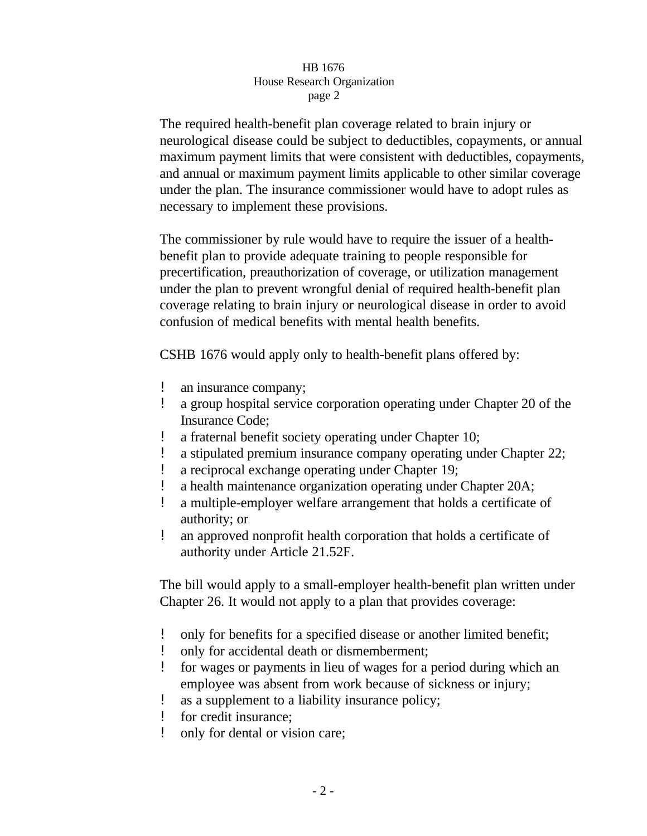## HB 1676 House Research Organization page 2

The required health-benefit plan coverage related to brain injury or neurological disease could be subject to deductibles, copayments, or annual maximum payment limits that were consistent with deductibles, copayments, and annual or maximum payment limits applicable to other similar coverage under the plan. The insurance commissioner would have to adopt rules as necessary to implement these provisions.

The commissioner by rule would have to require the issuer of a healthbenefit plan to provide adequate training to people responsible for precertification, preauthorization of coverage, or utilization management under the plan to prevent wrongful denial of required health-benefit plan coverage relating to brain injury or neurological disease in order to avoid confusion of medical benefits with mental health benefits.

CSHB 1676 would apply only to health-benefit plans offered by:

- ! an insurance company;
- ! a group hospital service corporation operating under Chapter 20 of the Insurance Code;
- a fraternal benefit society operating under Chapter 10;
- a stipulated premium insurance company operating under Chapter 22;
- ! a reciprocal exchange operating under Chapter 19;
- a health maintenance organization operating under Chapter 20A;
- ! a multiple-employer welfare arrangement that holds a certificate of authority; or
- ! an approved nonprofit health corporation that holds a certificate of authority under Article 21.52F.

The bill would apply to a small-employer health-benefit plan written under Chapter 26. It would not apply to a plan that provides coverage:

- ! only for benefits for a specified disease or another limited benefit;
- ! only for accidental death or dismemberment;
- ! for wages or payments in lieu of wages for a period during which an employee was absent from work because of sickness or injury;
- ! as a supplement to a liability insurance policy;
- ! for credit insurance;
- ! only for dental or vision care;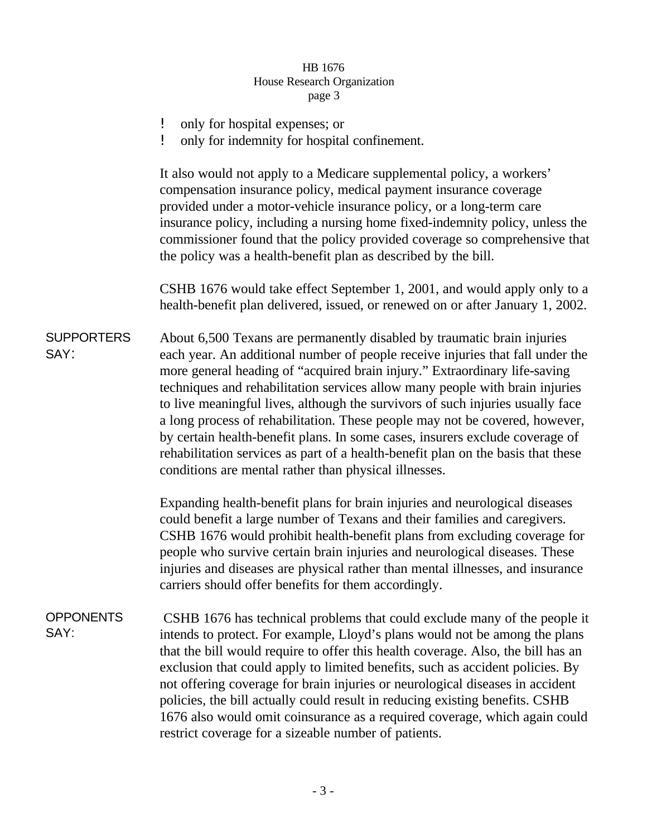## HB 1676 House Research Organization page 3

- ! only for hospital expenses; or
- ! only for indemnity for hospital confinement.

It also would not apply to a Medicare supplemental policy, a workers' compensation insurance policy, medical payment insurance coverage provided under a motor-vehicle insurance policy, or a long-term care insurance policy, including a nursing home fixed-indemnity policy, unless the commissioner found that the policy provided coverage so comprehensive that the policy was a health-benefit plan as described by the bill.

CSHB 1676 would take effect September 1, 2001, and would apply only to a health-benefit plan delivered, issued, or renewed on or after January 1, 2002.

**SUPPORTERS** SAY: About 6,500 Texans are permanently disabled by traumatic brain injuries each year. An additional number of people receive injuries that fall under the more general heading of "acquired brain injury." Extraordinary life-saving techniques and rehabilitation services allow many people with brain injuries to live meaningful lives, although the survivors of such injuries usually face a long process of rehabilitation. These people may not be covered, however, by certain health-benefit plans. In some cases, insurers exclude coverage of rehabilitation services as part of a health-benefit plan on the basis that these conditions are mental rather than physical illnesses.

> Expanding health-benefit plans for brain injuries and neurological diseases could benefit a large number of Texans and their families and caregivers. CSHB 1676 would prohibit health-benefit plans from excluding coverage for people who survive certain brain injuries and neurological diseases. These injuries and diseases are physical rather than mental illnesses, and insurance carriers should offer benefits for them accordingly.

**OPPONENTS** SAY: CSHB 1676 has technical problems that could exclude many of the people it intends to protect. For example, Lloyd's plans would not be among the plans that the bill would require to offer this health coverage. Also, the bill has an exclusion that could apply to limited benefits, such as accident policies. By not offering coverage for brain injuries or neurological diseases in accident policies, the bill actually could result in reducing existing benefits. CSHB 1676 also would omit coinsurance as a required coverage, which again could restrict coverage for a sizeable number of patients.